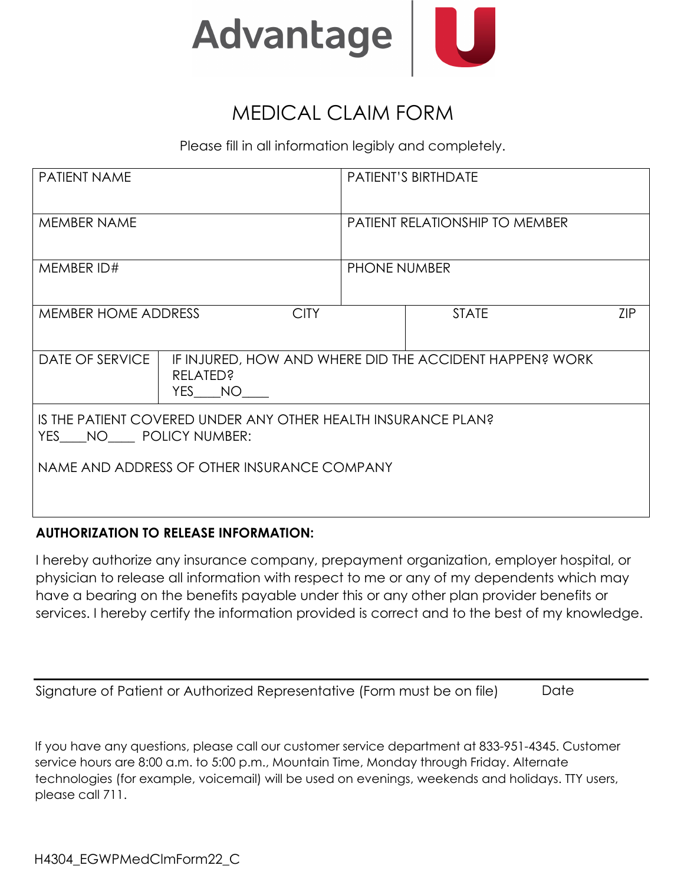

## MEDICAL CLAIM FORM

Please fill in all information legibly and completely.

| <b>PATIENT NAME</b>                                                                    |                                                                                      | PATIENT'S BIRTHDATE                   |              |     |  |
|----------------------------------------------------------------------------------------|--------------------------------------------------------------------------------------|---------------------------------------|--------------|-----|--|
| MEMBER NAME                                                                            |                                                                                      | <b>PATIENT RELATIONSHIP TO MEMBER</b> |              |     |  |
| MEMBER ID#                                                                             |                                                                                      | <b>PHONE NUMBER</b>                   |              |     |  |
| <b>MEMBER HOME ADDRESS</b><br><b>CITY</b>                                              |                                                                                      |                                       | <b>STATE</b> | ZIP |  |
| DATE OF SERVICE                                                                        | IF INJURED, HOW AND WHERE DID THE ACCIDENT HAPPEN? WORK<br><b>RELATED?</b><br>YES NO |                                       |              |     |  |
| IS THE PATIENT COVERED UNDER ANY OTHER HEALTH INSURANCE PLAN?<br>YES NO POLICY NUMBER: |                                                                                      |                                       |              |     |  |
| NAME AND ADDRESS OF OTHER INSURANCE COMPANY                                            |                                                                                      |                                       |              |     |  |

## **AUTHORIZATION TO RELEASE INFORMATION:**

I hereby authorize any insurance company, prepayment organization, employer hospital, or physician to release all information with respect to me or any of my dependents which may have a bearing on the benefits payable under this or any other plan provider benefits or services. I hereby certify the information provided is correct and to the best of my knowledge.

| Signature of Patient or Authorized Representative (Form must be on file) | Date |
|--------------------------------------------------------------------------|------|
|                                                                          |      |

If you have any questions, please call our customer service department at 833-951-4345. Customer service hours are 8:00 a.m. to 5:00 p.m., Mountain Time, Monday through Friday. Alternate technologies (for example, voicemail) will be used on evenings, weekends and holidays. TTY users, please call 711.